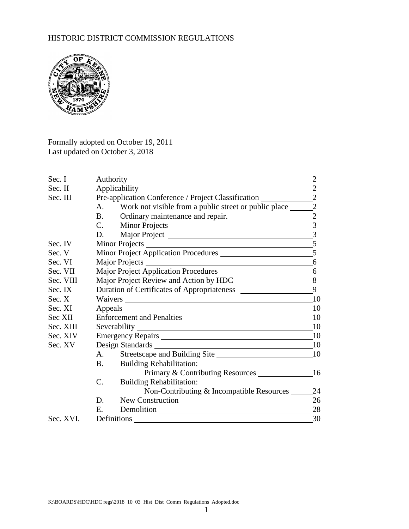# HISTORIC DISTRICT COMMISSION REGULATIONS



Formally adopted on October 19, 2011 Last updated on October 3, 2018

| Sec. I    |                                                                                   |                                                       |                         |  |
|-----------|-----------------------------------------------------------------------------------|-------------------------------------------------------|-------------------------|--|
| Sec. II   | $\sqrt{2}$                                                                        |                                                       |                         |  |
| Sec. III  | Pre-application Conference / Project Classification _____________________________ |                                                       |                         |  |
|           | A.                                                                                | Work not visible from a public street or public place | $\overline{2}$          |  |
|           | <b>B.</b>                                                                         | Ordinary maintenance and repair.                      | $\overline{2}$          |  |
|           | C.                                                                                |                                                       | $\overline{\mathbf{3}}$ |  |
|           | D.                                                                                |                                                       |                         |  |
| Sec. IV   |                                                                                   |                                                       |                         |  |
| Sec. V    |                                                                                   |                                                       |                         |  |
| Sec. VI   |                                                                                   |                                                       |                         |  |
| Sec. VII  |                                                                                   |                                                       |                         |  |
| Sec. VIII |                                                                                   |                                                       |                         |  |
| Sec. IX   |                                                                                   |                                                       |                         |  |
| Sec. X    |                                                                                   |                                                       | 10                      |  |
| Sec. XI   |                                                                                   |                                                       | <b>10</b>               |  |
| Sec XII   |                                                                                   | Enforcement and Penalties                             |                         |  |
| Sec. XIII |                                                                                   |                                                       | 10                      |  |
| Sec. XIV  |                                                                                   | Emergency Repairs                                     |                         |  |
| Sec. XV   |                                                                                   |                                                       | -10                     |  |
|           | A.                                                                                |                                                       |                         |  |
|           | <b>B.</b>                                                                         | <b>Building Rehabilitation:</b>                       |                         |  |
|           |                                                                                   | Primary & Contributing Resources 16                   |                         |  |
|           | C.                                                                                | <b>Building Rehabilitation:</b>                       |                         |  |
|           |                                                                                   | Non-Contributing & Incompatible Resources 24          |                         |  |
|           | D.                                                                                |                                                       | 26                      |  |
|           | E.                                                                                |                                                       | 28                      |  |
| Sec. XVI. | Definitions                                                                       |                                                       | 30                      |  |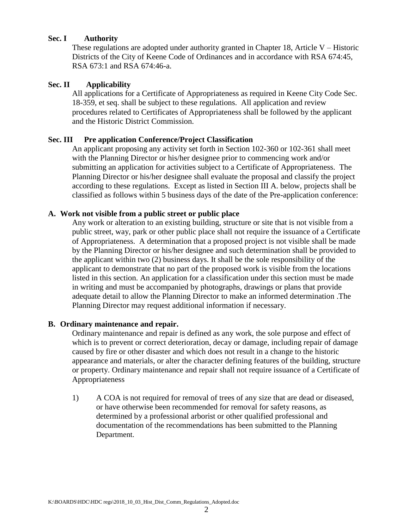#### **Sec. I Authority**

These regulations are adopted under authority granted in Chapter 18, Article V – Historic Districts of the City of Keene Code of Ordinances and in accordance with RSA 674:45, RSA 673:1 and RSA 674:46-a.

#### **Sec. II Applicability**

All applications for a Certificate of Appropriateness as required in Keene City Code Sec. 18-359, et seq. shall be subject to these regulations. All application and review procedures related to Certificates of Appropriateness shall be followed by the applicant and the Historic District Commission.

#### **Sec. III Pre application Conference/Project Classification**

An applicant proposing any activity set forth in Section 102-360 or 102-361 shall meet with the Planning Director or his/her designee prior to commencing work and/or submitting an application for activities subject to a Certificate of Appropriateness. The Planning Director or his/her designee shall evaluate the proposal and classify the project according to these regulations. Except as listed in Section III A. below, projects shall be classified as follows within 5 business days of the date of the Pre-application conference:

#### **A. Work not visible from a public street or public place**

Any work or alteration to an existing building, structure or site that is not visible from a public street, way, park or other public place shall not require the issuance of a Certificate of Appropriateness. A determination that a proposed project is not visible shall be made by the Planning Director or his/her designee and such determination shall be provided to the applicant within two (2) business days. It shall be the sole responsibility of the applicant to demonstrate that no part of the proposed work is visible from the locations listed in this section. An application for a classification under this section must be made in writing and must be accompanied by photographs, drawings or plans that provide adequate detail to allow the Planning Director to make an informed determination .The Planning Director may request additional information if necessary.

#### **B. Ordinary maintenance and repair.**

Ordinary maintenance and repair is defined as any work, the sole purpose and effect of which is to prevent or correct deterioration, decay or damage, including repair of damage caused by fire or other disaster and which does not result in a change to the historic appearance and materials, or alter the character defining features of the building, structure or property. Ordinary maintenance and repair shall not require issuance of a Certificate of Appropriateness

1) A COA is not required for removal of trees of any size that are dead or diseased, or have otherwise been recommended for removal for safety reasons, as determined by a professional arborist or other qualified professional and documentation of the recommendations has been submitted to the Planning Department.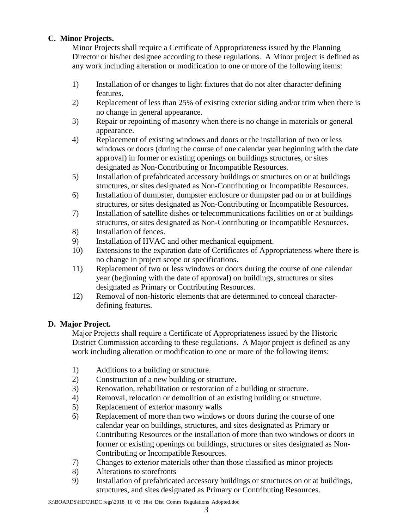## **C. Minor Projects.**

Minor Projects shall require a Certificate of Appropriateness issued by the Planning Director or his/her designee according to these regulations. A Minor project is defined as any work including alteration or modification to one or more of the following items:

- 1) Installation of or changes to light fixtures that do not alter character defining features.
- 2) Replacement of less than 25% of existing exterior siding and/or trim when there is no change in general appearance.
- 3) Repair or repointing of masonry when there is no change in materials or general appearance.
- 4) Replacement of existing windows and doors or the installation of two or less windows or doors (during the course of one calendar year beginning with the date approval) in former or existing openings on buildings structures, or sites designated as Non-Contributing or Incompatible Resources.
- 5) Installation of prefabricated accessory buildings or structures on or at buildings structures, or sites designated as Non-Contributing or Incompatible Resources.
- 6) Installation of dumpster, dumpster enclosure or dumpster pad on or at buildings structures, or sites designated as Non-Contributing or Incompatible Resources.
- 7) Installation of satellite dishes or telecommunications facilities on or at buildings structures, or sites designated as Non-Contributing or Incompatible Resources.
- 8) Installation of fences.
- 9) Installation of HVAC and other mechanical equipment.
- 10) Extensions to the expiration date of Certificates of Appropriateness where there is no change in project scope or specifications.
- 11) Replacement of two or less windows or doors during the course of one calendar year (beginning with the date of approval) on buildings, structures or sites designated as Primary or Contributing Resources.
- 12) Removal of non-historic elements that are determined to conceal characterdefining features.

### **D. Major Project.**

Major Projects shall require a Certificate of Appropriateness issued by the Historic District Commission according to these regulations. A Major project is defined as any work including alteration or modification to one or more of the following items:

- 1) Additions to a building or structure.
- 2) Construction of a new building or structure.
- 3) Renovation, rehabilitation or restoration of a building or structure.
- 4) Removal, relocation or demolition of an existing building or structure.
- 5) Replacement of exterior masonry walls
- 6) Replacement of more than two windows or doors during the course of one calendar year on buildings, structures, and sites designated as Primary or Contributing Resources or the installation of more than two windows or doors in former or existing openings on buildings, structures or sites designated as Non-Contributing or Incompatible Resources.
- 7) Changes to exterior materials other than those classified as minor projects
- 8) Alterations to storefronts
- 9) Installation of prefabricated accessory buildings or structures on or at buildings, structures, and sites designated as Primary or Contributing Resources.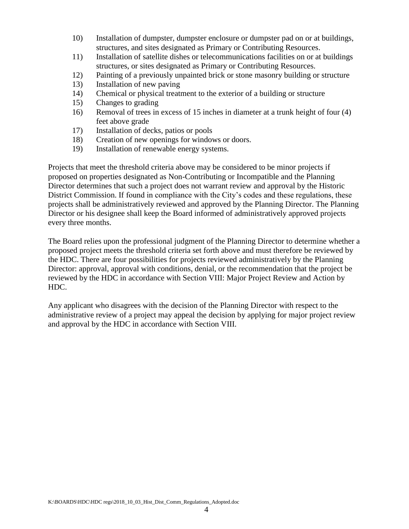- 10) Installation of dumpster, dumpster enclosure or dumpster pad on or at buildings, structures, and sites designated as Primary or Contributing Resources.
- 11) Installation of satellite dishes or telecommunications facilities on or at buildings structures, or sites designated as Primary or Contributing Resources.
- 12) Painting of a previously unpainted brick or stone masonry building or structure
- 13) Installation of new paving
- 14) Chemical or physical treatment to the exterior of a building or structure
- 15) Changes to grading
- 16) Removal of trees in excess of 15 inches in diameter at a trunk height of four (4) feet above grade
- 17) Installation of decks, patios or pools
- 18) Creation of new openings for windows or doors.
- 19) Installation of renewable energy systems.

Projects that meet the threshold criteria above may be considered to be minor projects if proposed on properties designated as Non-Contributing or Incompatible and the Planning Director determines that such a project does not warrant review and approval by the Historic District Commission. If found in compliance with the City's codes and these regulations, these projects shall be administratively reviewed and approved by the Planning Director. The Planning Director or his designee shall keep the Board informed of administratively approved projects every three months.

The Board relies upon the professional judgment of the Planning Director to determine whether a proposed project meets the threshold criteria set forth above and must therefore be reviewed by the HDC. There are four possibilities for projects reviewed administratively by the Planning Director: approval, approval with conditions, denial, or the recommendation that the project be reviewed by the HDC in accordance with Section VIII: Major Project Review and Action by HDC.

Any applicant who disagrees with the decision of the Planning Director with respect to the administrative review of a project may appeal the decision by applying for major project review and approval by the HDC in accordance with Section VIII.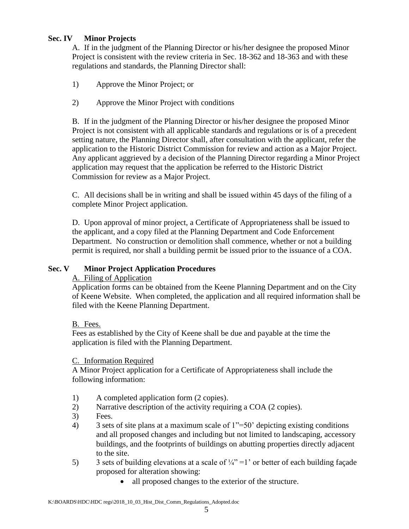### **Sec. IV Minor Projects**

A. If in the judgment of the Planning Director or his/her designee the proposed Minor Project is consistent with the review criteria in Sec. 18-362 and 18-363 and with these regulations and standards, the Planning Director shall:

- 1) Approve the Minor Project; or
- 2) Approve the Minor Project with conditions

B. If in the judgment of the Planning Director or his/her designee the proposed Minor Project is not consistent with all applicable standards and regulations or is of a precedent setting nature, the Planning Director shall, after consultation with the applicant, refer the application to the Historic District Commission for review and action as a Major Project. Any applicant aggrieved by a decision of the Planning Director regarding a Minor Project application may request that the application be referred to the Historic District Commission for review as a Major Project.

C. All decisions shall be in writing and shall be issued within 45 days of the filing of a complete Minor Project application.

D. Upon approval of minor project, a Certificate of Appropriateness shall be issued to the applicant, and a copy filed at the Planning Department and Code Enforcement Department. No construction or demolition shall commence, whether or not a building permit is required, nor shall a building permit be issued prior to the issuance of a COA.

#### **Sec. V Minor Project Application Procedures**

#### A. Filing of Application

Application forms can be obtained from the Keene Planning Department and on the City of Keene Website. When completed, the application and all required information shall be filed with the Keene Planning Department.

B. Fees.

Fees as established by the City of Keene shall be due and payable at the time the application is filed with the Planning Department.

#### C. Information Required

A Minor Project application for a Certificate of Appropriateness shall include the following information:

- 1) A completed application form (2 copies).
- 2) Narrative description of the activity requiring a COA (2 copies).
- 3) Fees.
- 4) 3 sets of site plans at a maximum scale of 1"=50' depicting existing conditions and all proposed changes and including but not limited to landscaping, accessory buildings, and the footprints of buildings on abutting properties directly adjacent to the site.
- 5) 3 sets of building elevations at a scale of  $\frac{1}{4}$ " =1' or better of each building façade proposed for alteration showing:
	- all proposed changes to the exterior of the structure.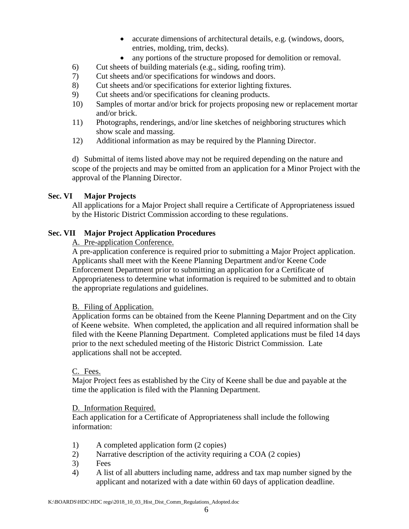- accurate dimensions of architectural details, e.g. (windows, doors, entries, molding, trim, decks).
- any portions of the structure proposed for demolition or removal.
- 6) Cut sheets of building materials (e.g., siding, roofing trim).
- 7) Cut sheets and/or specifications for windows and doors.
- 8) Cut sheets and/or specifications for exterior lighting fixtures.
- 9) Cut sheets and/or specifications for cleaning products.
- 10) Samples of mortar and/or brick for projects proposing new or replacement mortar and/or brick.
- 11) Photographs, renderings, and/or line sketches of neighboring structures which show scale and massing.
- 12) Additional information as may be required by the Planning Director.

d) Submittal of items listed above may not be required depending on the nature and scope of the projects and may be omitted from an application for a Minor Project with the approval of the Planning Director.

#### **Sec. VI Major Projects**

All applications for a Major Project shall require a Certificate of Appropriateness issued by the Historic District Commission according to these regulations.

### **Sec. VII Major Project Application Procedures**

A. Pre-application Conference.

A pre-application conference is required prior to submitting a Major Project application. Applicants shall meet with the Keene Planning Department and/or Keene Code Enforcement Department prior to submitting an application for a Certificate of Appropriateness to determine what information is required to be submitted and to obtain the appropriate regulations and guidelines.

#### B. Filing of Application.

Application forms can be obtained from the Keene Planning Department and on the City of Keene website. When completed, the application and all required information shall be filed with the Keene Planning Department. Completed applications must be filed 14 days prior to the next scheduled meeting of the Historic District Commission. Late applications shall not be accepted.

#### C. Fees.

Major Project fees as established by the City of Keene shall be due and payable at the time the application is filed with the Planning Department.

#### D. Information Required.

Each application for a Certificate of Appropriateness shall include the following information:

- 1) A completed application form (2 copies)
- 2) Narrative description of the activity requiring a COA (2 copies)
- 3) Fees
- 4) A list of all abutters including name, address and tax map number signed by the applicant and notarized with a date within 60 days of application deadline.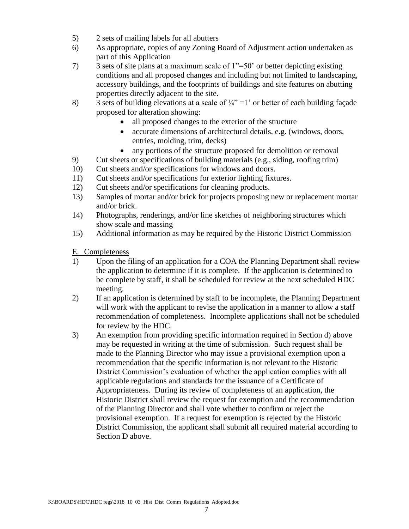- 5) 2 sets of mailing labels for all abutters
- 6) As appropriate, copies of any Zoning Board of Adjustment action undertaken as part of this Application
- 7) 3 sets of site plans at a maximum scale of 1"=50' or better depicting existing conditions and all proposed changes and including but not limited to landscaping, accessory buildings, and the footprints of buildings and site features on abutting properties directly adjacent to the site.
- 8) 3 sets of building elevations at a scale of  $\frac{1}{4}$ " = 1' or better of each building façade proposed for alteration showing:
	- all proposed changes to the exterior of the structure
	- accurate dimensions of architectural details, e.g. (windows, doors, entries, molding, trim, decks)
	- any portions of the structure proposed for demolition or removal
- 9) Cut sheets or specifications of building materials (e.g., siding, roofing trim)
- 10) Cut sheets and/or specifications for windows and doors.
- 11) Cut sheets and/or specifications for exterior lighting fixtures.
- 12) Cut sheets and/or specifications for cleaning products.
- 13) Samples of mortar and/or brick for projects proposing new or replacement mortar and/or brick.
- 14) Photographs, renderings, and/or line sketches of neighboring structures which show scale and massing
- 15) Additional information as may be required by the Historic District Commission

E. Completeness

- 1) Upon the filing of an application for a COA the Planning Department shall review the application to determine if it is complete. If the application is determined to be complete by staff, it shall be scheduled for review at the next scheduled HDC meeting.
- 2) If an application is determined by staff to be incomplete, the Planning Department will work with the applicant to revise the application in a manner to allow a staff recommendation of completeness. Incomplete applications shall not be scheduled for review by the HDC.
- 3) An exemption from providing specific information required in Section d) above may be requested in writing at the time of submission. Such request shall be made to the Planning Director who may issue a provisional exemption upon a recommendation that the specific information is not relevant to the Historic District Commission's evaluation of whether the application complies with all applicable regulations and standards for the issuance of a Certificate of Appropriateness. During its review of completeness of an application, the Historic District shall review the request for exemption and the recommendation of the Planning Director and shall vote whether to confirm or reject the provisional exemption. If a request for exemption is rejected by the Historic District Commission, the applicant shall submit all required material according to Section D above.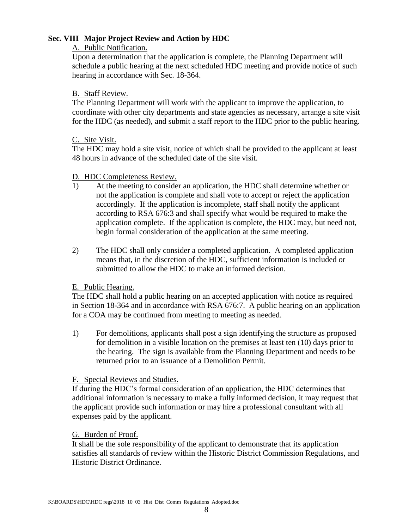#### **Sec. VIII Major Project Review and Action by HDC**

#### A. Public Notification.

Upon a determination that the application is complete, the Planning Department will schedule a public hearing at the next scheduled HDC meeting and provide notice of such hearing in accordance with Sec. 18-364.

#### B. Staff Review.

The Planning Department will work with the applicant to improve the application, to coordinate with other city departments and state agencies as necessary, arrange a site visit for the HDC (as needed), and submit a staff report to the HDC prior to the public hearing.

#### C. Site Visit.

The HDC may hold a site visit, notice of which shall be provided to the applicant at least 48 hours in advance of the scheduled date of the site visit.

#### D. HDC Completeness Review.

- 1) At the meeting to consider an application, the HDC shall determine whether or not the application is complete and shall vote to accept or reject the application accordingly. If the application is incomplete, staff shall notify the applicant according to RSA 676:3 and shall specify what would be required to make the application complete. If the application is complete, the HDC may, but need not, begin formal consideration of the application at the same meeting.
- 2) The HDC shall only consider a completed application. A completed application means that, in the discretion of the HDC, sufficient information is included or submitted to allow the HDC to make an informed decision.

### E. Public Hearing.

The HDC shall hold a public hearing on an accepted application with notice as required in Section 18-364 and in accordance with RSA 676:7. A public hearing on an application for a COA may be continued from meeting to meeting as needed.

1) For demolitions, applicants shall post a sign identifying the structure as proposed for demolition in a visible location on the premises at least ten (10) days prior to the hearing. The sign is available from the Planning Department and needs to be returned prior to an issuance of a Demolition Permit.

### F. Special Reviews and Studies.

If during the HDC's formal consideration of an application, the HDC determines that additional information is necessary to make a fully informed decision, it may request that the applicant provide such information or may hire a professional consultant with all expenses paid by the applicant.

#### G. Burden of Proof.

It shall be the sole responsibility of the applicant to demonstrate that its application satisfies all standards of review within the Historic District Commission Regulations, and Historic District Ordinance.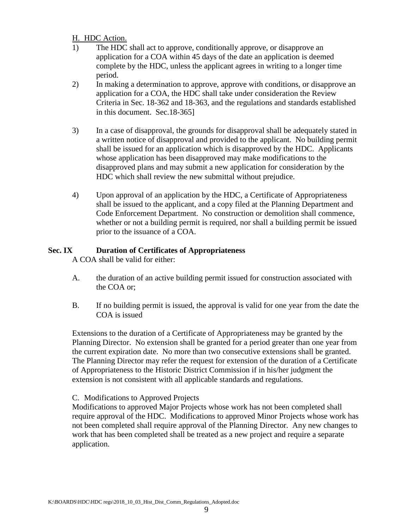#### H. HDC Action.

- 1) The HDC shall act to approve, conditionally approve, or disapprove an application for a COA within 45 days of the date an application is deemed complete by the HDC, unless the applicant agrees in writing to a longer time period.
- 2) In making a determination to approve, approve with conditions, or disapprove an application for a COA, the HDC shall take under consideration the Review Criteria in Sec. 18-362 and 18-363, and the regulations and standards established in this document. Sec.18-365]
- 3) In a case of disapproval, the grounds for disapproval shall be adequately stated in a written notice of disapproval and provided to the applicant. No building permit shall be issued for an application which is disapproved by the HDC. Applicants whose application has been disapproved may make modifications to the disapproved plans and may submit a new application for consideration by the HDC which shall review the new submittal without prejudice.
- 4) Upon approval of an application by the HDC, a Certificate of Appropriateness shall be issued to the applicant, and a copy filed at the Planning Department and Code Enforcement Department. No construction or demolition shall commence, whether or not a building permit is required, nor shall a building permit be issued prior to the issuance of a COA.

### **Sec. IX Duration of Certificates of Appropriateness**

A COA shall be valid for either:

- A. the duration of an active building permit issued for construction associated with the COA or;
- B. If no building permit is issued, the approval is valid for one year from the date the COA is issued

Extensions to the duration of a Certificate of Appropriateness may be granted by the Planning Director. No extension shall be granted for a period greater than one year from the current expiration date. No more than two consecutive extensions shall be granted. The Planning Director may refer the request for extension of the duration of a Certificate of Appropriateness to the Historic District Commission if in his/her judgment the extension is not consistent with all applicable standards and regulations.

### C. Modifications to Approved Projects

Modifications to approved Major Projects whose work has not been completed shall require approval of the HDC. Modifications to approved Minor Projects whose work has not been completed shall require approval of the Planning Director. Any new changes to work that has been completed shall be treated as a new project and require a separate application.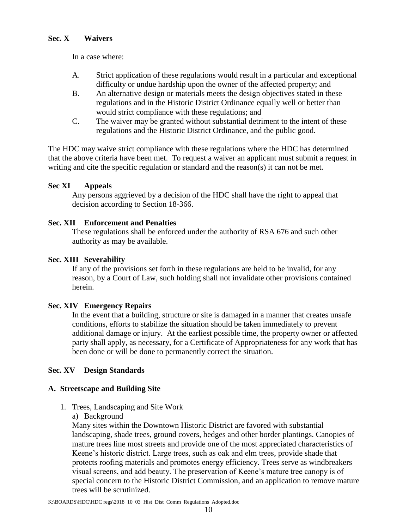In a case where:

- A. Strict application of these regulations would result in a particular and exceptional difficulty or undue hardship upon the owner of the affected property; and
- B. An alternative design or materials meets the design objectives stated in these regulations and in the Historic District Ordinance equally well or better than would strict compliance with these regulations; and
- C. The waiver may be granted without substantial detriment to the intent of these regulations and the Historic District Ordinance, and the public good.

The HDC may waive strict compliance with these regulations where the HDC has determined that the above criteria have been met. To request a waiver an applicant must submit a request in writing and cite the specific regulation or standard and the reason(s) it can not be met.

## **Sec XI Appeals**

Any persons aggrieved by a decision of the HDC shall have the right to appeal that decision according to Section 18-366.

### **Sec. XII Enforcement and Penalties**

These regulations shall be enforced under the authority of RSA 676 and such other authority as may be available.

### **Sec. XIII Severability**

If any of the provisions set forth in these regulations are held to be invalid, for any reason, by a Court of Law, such holding shall not invalidate other provisions contained herein.

### **Sec. XIV Emergency Repairs**

In the event that a building, structure or site is damaged in a manner that creates unsafe conditions, efforts to stabilize the situation should be taken immediately to prevent additional damage or injury. At the earliest possible time, the property owner or affected party shall apply, as necessary, for a Certificate of Appropriateness for any work that has been done or will be done to permanently correct the situation.

### **Sec. XV Design Standards**

### **A. Streetscape and Building Site**

- 1. Trees, Landscaping and Site Work
	- a) Background

Many sites within the Downtown Historic District are favored with substantial landscaping, shade trees, ground covers, hedges and other border plantings. Canopies of mature trees line most streets and provide one of the most appreciated characteristics of Keene's historic district. Large trees, such as oak and elm trees, provide shade that protects roofing materials and promotes energy efficiency. Trees serve as windbreakers visual screens, and add beauty. The preservation of Keene's mature tree canopy is of special concern to the Historic District Commission, and an application to remove mature trees will be scrutinized.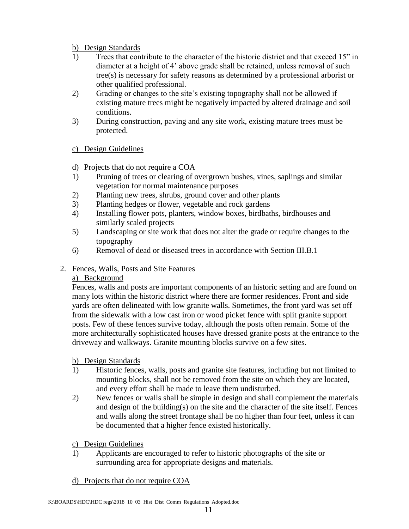### b) Design Standards

- 1) Trees that contribute to the character of the historic district and that exceed 15" in diameter at a height of 4' above grade shall be retained, unless removal of such tree(s) is necessary for safety reasons as determined by a professional arborist or other qualified professional.
- 2) Grading or changes to the site's existing topography shall not be allowed if existing mature trees might be negatively impacted by altered drainage and soil conditions.
- 3) During construction, paving and any site work, existing mature trees must be protected.

### c) Design Guidelines

### d) Projects that do not require a COA

- 1) Pruning of trees or clearing of overgrown bushes, vines, saplings and similar vegetation for normal maintenance purposes
- 2) Planting new trees, shrubs, ground cover and other plants
- 3) Planting hedges or flower, vegetable and rock gardens
- 4) Installing flower pots, planters, window boxes, birdbaths, birdhouses and similarly scaled projects
- 5) Landscaping or site work that does not alter the grade or require changes to the topography
- 6) Removal of dead or diseased trees in accordance with Section III.B.1
- 2. Fences, Walls, Posts and Site Features

### a) Background

Fences, walls and posts are important components of an historic setting and are found on many lots within the historic district where there are former residences. Front and side yards are often delineated with low granite walls. Sometimes, the front yard was set off from the sidewalk with a low cast iron or wood picket fence with split granite support posts. Few of these fences survive today, although the posts often remain. Some of the more architecturally sophisticated houses have dressed granite posts at the entrance to the driveway and walkways. Granite mounting blocks survive on a few sites.

#### b) Design Standards

- 1) Historic fences, walls, posts and granite site features, including but not limited to mounting blocks, shall not be removed from the site on which they are located, and every effort shall be made to leave them undisturbed.
- 2) New fences or walls shall be simple in design and shall complement the materials and design of the building(s) on the site and the character of the site itself. Fences and walls along the street frontage shall be no higher than four feet, unless it can be documented that a higher fence existed historically.

### c) Design Guidelines

- 1) Applicants are encouraged to refer to historic photographs of the site or surrounding area for appropriate designs and materials.
- d) Projects that do not require COA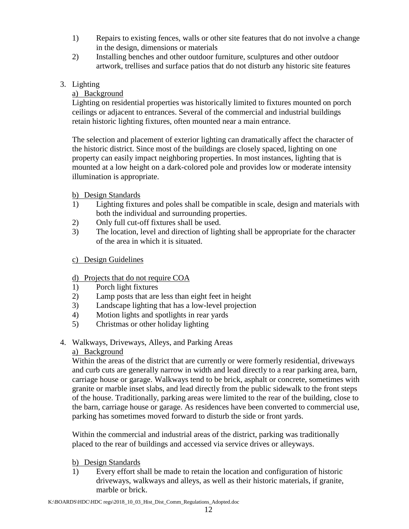- 1) Repairs to existing fences, walls or other site features that do not involve a change in the design, dimensions or materials
- 2) Installing benches and other outdoor furniture, sculptures and other outdoor artwork, trellises and surface patios that do not disturb any historic site features

## 3. Lighting

## a) Background

Lighting on residential properties was historically limited to fixtures mounted on porch ceilings or adjacent to entrances. Several of the commercial and industrial buildings retain historic lighting fixtures, often mounted near a main entrance.

The selection and placement of exterior lighting can dramatically affect the character of the historic district. Since most of the buildings are closely spaced, lighting on one property can easily impact neighboring properties. In most instances, lighting that is mounted at a low height on a dark-colored pole and provides low or moderate intensity illumination is appropriate.

### b) Design Standards

- 1) Lighting fixtures and poles shall be compatible in scale, design and materials with both the individual and surrounding properties.
- 2) Only full cut-off fixtures shall be used.
- 3) The location, level and direction of lighting shall be appropriate for the character of the area in which it is situated.

## c) Design Guidelines

# d) Projects that do not require COA

- 1) Porch light fixtures
- 2) Lamp posts that are less than eight feet in height
- 3) Landscape lighting that has a low-level projection
- 4) Motion lights and spotlights in rear yards
- 5) Christmas or other holiday lighting
- 4. Walkways, Driveways, Alleys, and Parking Areas

### a) Background

Within the areas of the district that are currently or were formerly residential, driveways and curb cuts are generally narrow in width and lead directly to a rear parking area, barn, carriage house or garage. Walkways tend to be brick, asphalt or concrete, sometimes with granite or marble inset slabs, and lead directly from the public sidewalk to the front steps of the house. Traditionally, parking areas were limited to the rear of the building, close to the barn, carriage house or garage. As residences have been converted to commercial use, parking has sometimes moved forward to disturb the side or front yards.

Within the commercial and industrial areas of the district, parking was traditionally placed to the rear of buildings and accessed via service drives or alleyways.

### b) Design Standards

1) Every effort shall be made to retain the location and configuration of historic driveways, walkways and alleys, as well as their historic materials, if granite, marble or brick.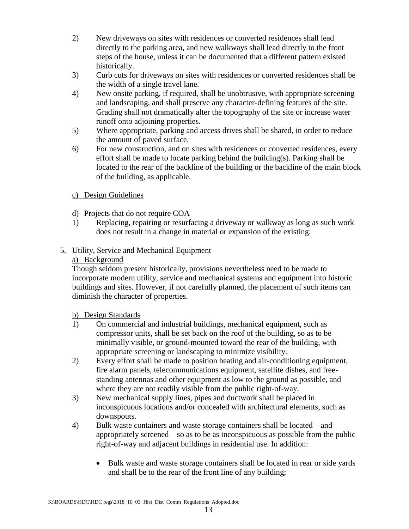- 2) New driveways on sites with residences or converted residences shall lead directly to the parking area, and new walkways shall lead directly to the front steps of the house, unless it can be documented that a different pattern existed historically.
- 3) Curb cuts for driveways on sites with residences or converted residences shall be the width of a single travel lane.
- 4) New onsite parking, if required, shall be unobtrusive, with appropriate screening and landscaping, and shall preserve any character-defining features of the site. Grading shall not dramatically alter the topography of the site or increase water runoff onto adjoining properties.
- 5) Where appropriate, parking and access drives shall be shared, in order to reduce the amount of paved surface.
- 6) For new construction, and on sites with residences or converted residences, every effort shall be made to locate parking behind the building(s). Parking shall be located to the rear of the backline of the building or the backline of the main block of the building, as applicable.

### c) Design Guidelines

## d) Projects that do not require COA

1) Replacing, repairing or resurfacing a driveway or walkway as long as such work does not result in a change in material or expansion of the existing.

## 5. Utility, Service and Mechanical Equipment

#### a) Background

Though seldom present historically, provisions nevertheless need to be made to incorporate modern utility, service and mechanical systems and equipment into historic buildings and sites. However, if not carefully planned, the placement of such items can diminish the character of properties.

### b) Design Standards

- 1) On commercial and industrial buildings, mechanical equipment, such as compressor units, shall be set back on the roof of the building, so as to be minimally visible, or ground-mounted toward the rear of the building, with appropriate screening or landscaping to minimize visibility.
- 2) Every effort shall be made to position heating and air-conditioning equipment, fire alarm panels, telecommunications equipment, satellite dishes, and freestanding antennas and other equipment as low to the ground as possible, and where they are not readily visible from the public right-of-way.
- 3) New mechanical supply lines, pipes and ductwork shall be placed in inconspicuous locations and/or concealed with architectural elements, such as downspouts.
- 4) Bulk waste containers and waste storage containers shall be located and appropriately screened—so as to be as inconspicuous as possible from the public right-of-way and adjacent buildings in residential use. In addition:
	- Bulk waste and waste storage containers shall be located in rear or side yards and shall be to the rear of the front line of any building;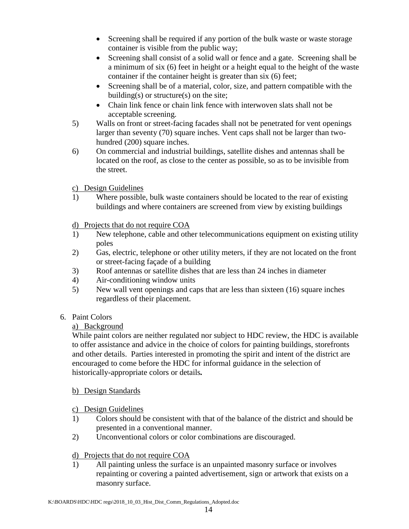- Screening shall be required if any portion of the bulk waste or waste storage container is visible from the public way;
- Screening shall consist of a solid wall or fence and a gate. Screening shall be a minimum of six (6) feet in height or a height equal to the height of the waste container if the container height is greater than six (6) feet;
- Screening shall be of a material, color, size, and pattern compatible with the building(s) or structure(s) on the site;
- Chain link fence or chain link fence with interwoven slats shall not be acceptable screening.
- 5) Walls on front or street-facing facades shall not be penetrated for vent openings larger than seventy (70) square inches. Vent caps shall not be larger than twohundred (200) square inches.
- 6) On commercial and industrial buildings, satellite dishes and antennas shall be located on the roof, as close to the center as possible, so as to be invisible from the street.
- c) Design Guidelines
- 1) Where possible, bulk waste containers should be located to the rear of existing buildings and where containers are screened from view by existing buildings
- d) Projects that do not require COA
- 1) New telephone, cable and other telecommunications equipment on existing utility poles
- 2) Gas, electric, telephone or other utility meters, if they are not located on the front or street-facing façade of a building
- 3) Roof antennas or satellite dishes that are less than 24 inches in diameter
- 4) Air-conditioning window units
- 5) New wall vent openings and caps that are less than sixteen (16) square inches regardless of their placement.
- 6. Paint Colors

### a) Background

While paint colors are neither regulated nor subject to HDC review, the HDC is available to offer assistance and advice in the choice of colors for painting buildings, storefronts and other details. Parties interested in promoting the spirit and intent of the district are encouraged to come before the HDC for informal guidance in the selection of historically-appropriate colors or details*.*

### b) Design Standards

- c) Design Guidelines
- 1) Colors should be consistent with that of the balance of the district and should be presented in a conventional manner.
- 2) Unconventional colors or color combinations are discouraged.

### d) Projects that do not require COA

1) All painting unless the surface is an unpainted masonry surface or involves repainting or covering a painted advertisement, sign or artwork that exists on a masonry surface.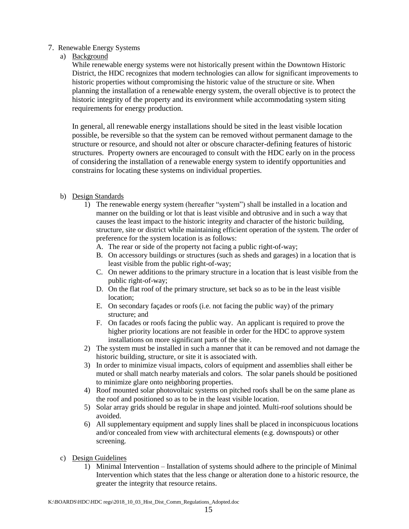#### 7. Renewable Energy Systems

a) Background

While renewable energy systems were not historically present within the Downtown Historic District, the HDC recognizes that modern technologies can allow for significant improvements to historic properties without compromising the historic value of the structure or site. When planning the installation of a renewable energy system, the overall objective is to protect the historic integrity of the property and its environment while accommodating system siting requirements for energy production.

In general, all renewable energy installations should be sited in the least visible location possible, be reversible so that the system can be removed without permanent damage to the structure or resource, and should not alter or obscure character-defining features of historic structures. Property owners are encouraged to consult with the HDC early on in the process of considering the installation of a renewable energy system to identify opportunities and constrains for locating these systems on individual properties.

- b) Design Standards
	- 1) The renewable energy system (hereafter "system") shall be installed in a location and manner on the building or lot that is least visible and obtrusive and in such a way that causes the least impact to the historic integrity and character of the historic building, structure, site or district while maintaining efficient operation of the system. The order of preference for the system location is as follows:
		- A. The rear or side of the property not facing a public right-of-way;
		- B. On accessory buildings or structures (such as sheds and garages) in a location that is least visible from the public right-of-way;
		- C. On newer additions to the primary structure in a location that is least visible from the public right-of-way;
		- D. On the flat roof of the primary structure, set back so as to be in the least visible location;
		- E. On secondary façades or roofs (i.e. not facing the public way) of the primary structure; and
		- F. On facades or roofs facing the public way. An applicant is required to prove the higher priority locations are not feasible in order for the HDC to approve system installations on more significant parts of the site.
	- 2) The system must be installed in such a manner that it can be removed and not damage the historic building, structure, or site it is associated with.
	- 3) In order to minimize visual impacts, colors of equipment and assemblies shall either be muted or shall match nearby materials and colors. The solar panels should be positioned to minimize glare onto neighboring properties.
	- 4) Roof mounted solar photovoltaic systems on pitched roofs shall be on the same plane as the roof and positioned so as to be in the least visible location.
	- 5) Solar array grids should be regular in shape and jointed. Multi-roof solutions should be avoided.
	- 6) All supplementary equipment and supply lines shall be placed in inconspicuous locations and/or concealed from view with architectural elements (e.g. downspouts) or other screening.
- c) Design Guidelines
	- 1) Minimal Intervention Installation of systems should adhere to the principle of Minimal Intervention which states that the less change or alteration done to a historic resource, the greater the integrity that resource retains.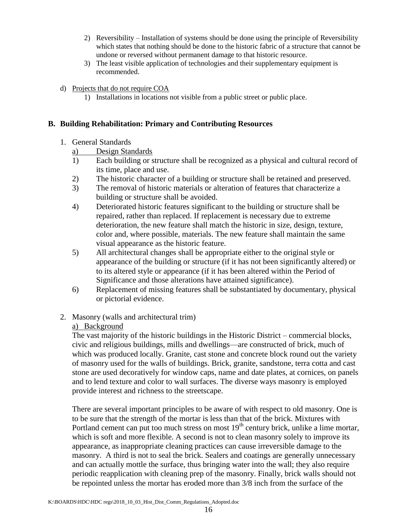- 2) Reversibility Installation of systems should be done using the principle of Reversibility which states that nothing should be done to the historic fabric of a structure that cannot be undone or reversed without permanent damage to that historic resource.
- 3) The least visible application of technologies and their supplementary equipment is recommended.
- d) Projects that do not require COA
	- 1) Installations in locations not visible from a public street or public place.

#### **B. Building Rehabilitation: Primary and Contributing Resources**

#### 1. General Standards

- a) Design Standards
- 1) Each building or structure shall be recognized as a physical and cultural record of its time, place and use.
- 2) The historic character of a building or structure shall be retained and preserved.
- 3) The removal of historic materials or alteration of features that characterize a building or structure shall be avoided.
- 4) Deteriorated historic features significant to the building or structure shall be repaired, rather than replaced. If replacement is necessary due to extreme deterioration, the new feature shall match the historic in size, design, texture, color and, where possible, materials. The new feature shall maintain the same visual appearance as the historic feature.
- 5) All architectural changes shall be appropriate either to the original style or appearance of the building or structure (if it has not been significantly altered) or to its altered style or appearance (if it has been altered within the Period of Significance and those alterations have attained significance).
- 6) Replacement of missing features shall be substantiated by documentary, physical or pictorial evidence.
- 2. Masonry (walls and architectural trim)

### a) Background

The vast majority of the historic buildings in the Historic District – commercial blocks, civic and religious buildings, mills and dwellings—are constructed of brick, much of which was produced locally. Granite, cast stone and concrete block round out the variety of masonry used for the walls of buildings. Brick, granite, sandstone, terra cotta and cast stone are used decoratively for window caps, name and date plates, at cornices, on panels and to lend texture and color to wall surfaces. The diverse ways masonry is employed provide interest and richness to the streetscape.

There are several important principles to be aware of with respect to old masonry. One is to be sure that the strength of the mortar is less than that of the brick. Mixtures with Portland cement can put too much stress on most  $19<sup>th</sup>$  century brick, unlike a lime mortar, which is soft and more flexible. A second is not to clean masonry solely to improve its appearance, as inappropriate cleaning practices can cause irreversible damage to the masonry. A third is not to seal the brick. Sealers and coatings are generally unnecessary and can actually mottle the surface, thus bringing water into the wall; they also require periodic reapplication with cleaning prep of the masonry. Finally, brick walls should not be repointed unless the mortar has eroded more than 3/8 inch from the surface of the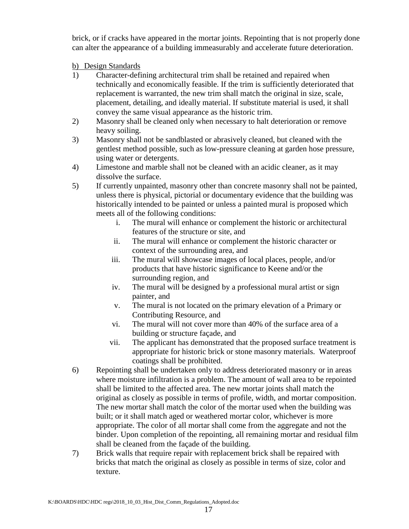brick, or if cracks have appeared in the mortar joints. Repointing that is not properly done can alter the appearance of a building immeasurably and accelerate future deterioration.

b) Design Standards

- 1) Character-defining architectural trim shall be retained and repaired when technically and economically feasible. If the trim is sufficiently deteriorated that replacement is warranted, the new trim shall match the original in size, scale, placement, detailing, and ideally material. If substitute material is used, it shall convey the same visual appearance as the historic trim.
- 2) Masonry shall be cleaned only when necessary to halt deterioration or remove heavy soiling.
- 3) Masonry shall not be sandblasted or abrasively cleaned, but cleaned with the gentlest method possible, such as low-pressure cleaning at garden hose pressure, using water or detergents.
- 4) Limestone and marble shall not be cleaned with an acidic cleaner, as it may dissolve the surface.
- 5) If currently unpainted, masonry other than concrete masonry shall not be painted, unless there is physical, pictorial or documentary evidence that the building was historically intended to be painted or unless a painted mural is proposed which meets all of the following conditions:
	- i. The mural will enhance or complement the historic or architectural features of the structure or site, and
	- ii. The mural will enhance or complement the historic character or context of the surrounding area, and
	- iii. The mural will showcase images of local places, people, and/or products that have historic significance to Keene and/or the surrounding region, and
	- iv. The mural will be designed by a professional mural artist or sign painter, and
	- v. The mural is not located on the primary elevation of a Primary or Contributing Resource, and
	- vi. The mural will not cover more than 40% of the surface area of a building or structure façade, and
	- vii. The applicant has demonstrated that the proposed surface treatment is appropriate for historic brick or stone masonry materials. Waterproof coatings shall be prohibited.
- 6) Repointing shall be undertaken only to address deteriorated masonry or in areas where moisture infiltration is a problem. The amount of wall area to be repointed shall be limited to the affected area. The new mortar joints shall match the original as closely as possible in terms of profile, width, and mortar composition. The new mortar shall match the color of the mortar used when the building was built; or it shall match aged or weathered mortar color, whichever is more appropriate. The color of all mortar shall come from the aggregate and not the binder. Upon completion of the repointing, all remaining mortar and residual film shall be cleaned from the façade of the building.
- 7) Brick walls that require repair with replacement brick shall be repaired with bricks that match the original as closely as possible in terms of size, color and texture.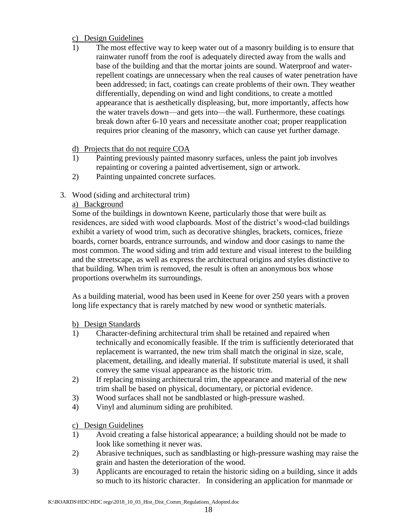#### c) Design Guidelines

1) The most effective way to keep water out of a masonry building is to ensure that rainwater runoff from the roof is adequately directed away from the walls and base of the building and that the mortar joints are sound. Waterproof and waterrepellent coatings are unnecessary when the real causes of water penetration have been addressed; in fact, coatings can create problems of their own. They weather differentially, depending on wind and light conditions, to create a mottled appearance that is aesthetically displeasing, but, more importantly, affects how the water travels down—and gets into—the wall. Furthermore, these coatings break down after 6-10 years and necessitate another coat; proper reapplication requires prior cleaning of the masonry, which can cause yet further damage.

#### d) Projects that do not require COA

- 1) Painting previously painted masonry surfaces, unless the paint job involves repainting or covering a painted advertisement, sign or artwork.
- 2) Painting unpainted concrete surfaces.
- 3. Wood (siding and architectural trim)

### a) Background

Some of the buildings in downtown Keene, particularly those that were built as residences, are sided with wood clapboards. Most of the district's wood-clad buildings exhibit a variety of wood trim, such as decorative shingles, brackets, cornices, frieze boards, corner boards, entrance surrounds, and window and door casings to name the most common. The wood siding and trim add texture and visual interest to the building and the streetscape, as well as express the architectural origins and styles distinctive to that building. When trim is removed, the result is often an anonymous box whose proportions overwhelm its surroundings.

As a building material, wood has been used in Keene for over 250 years with a proven long life expectancy that is rarely matched by new wood or synthetic materials.

#### b) Design Standards

- 1) Character-defining architectural trim shall be retained and repaired when technically and economically feasible. If the trim is sufficiently deteriorated that replacement is warranted, the new trim shall match the original in size, scale, placement, detailing, and ideally material. If substitute material is used, it shall convey the same visual appearance as the historic trim.
- 2) If replacing missing architectural trim, the appearance and material of the new trim shall be based on physical, documentary, or pictorial evidence.
- 3) Wood surfaces shall not be sandblasted or high-pressure washed.
- 4) Vinyl and aluminum siding are prohibited.

### c) Design Guidelines

- 1) Avoid creating a false historical appearance; a building should not be made to look like something it never was.
- 2) Abrasive techniques, such as sandblasting or high-pressure washing may raise the grain and hasten the deterioration of the wood.
- 3) Applicants are encouraged to retain the historic siding on a building, since it adds so much to its historic character. In considering an application for manmade or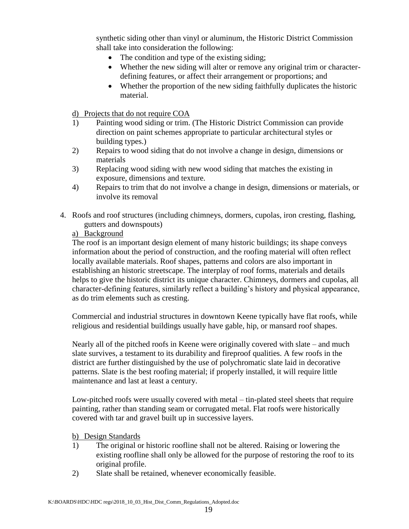synthetic siding other than vinyl or aluminum, the Historic District Commission shall take into consideration the following:

- The condition and type of the existing siding;
- Whether the new siding will alter or remove any original trim or characterdefining features, or affect their arrangement or proportions; and
- Whether the proportion of the new siding faithfully duplicates the historic material.

d) Projects that do not require COA

- 1) Painting wood siding or trim. (The Historic District Commission can provide direction on paint schemes appropriate to particular architectural styles or building types.)
- 2) Repairs to wood siding that do not involve a change in design, dimensions or materials
- 3) Replacing wood siding with new wood siding that matches the existing in exposure, dimensions and texture.
- 4) Repairs to trim that do not involve a change in design, dimensions or materials, or involve its removal
- 4. Roofs and roof structures (including chimneys, dormers, cupolas, iron cresting, flashing, gutters and downspouts)
	- a) Background

The roof is an important design element of many historic buildings; its shape conveys information about the period of construction, and the roofing material will often reflect locally available materials. Roof shapes, patterns and colors are also important in establishing an historic streetscape. The interplay of roof forms, materials and details helps to give the historic district its unique character. Chimneys, dormers and cupolas, all character-defining features, similarly reflect a building's history and physical appearance, as do trim elements such as cresting.

Commercial and industrial structures in downtown Keene typically have flat roofs, while religious and residential buildings usually have gable, hip, or mansard roof shapes.

Nearly all of the pitched roofs in Keene were originally covered with slate – and much slate survives, a testament to its durability and fireproof qualities. A few roofs in the district are further distinguished by the use of polychromatic slate laid in decorative patterns. Slate is the best roofing material; if properly installed, it will require little maintenance and last at least a century.

Low-pitched roofs were usually covered with metal – tin-plated steel sheets that require painting, rather than standing seam or corrugated metal. Flat roofs were historically covered with tar and gravel built up in successive layers.

#### b) Design Standards

- 1) The original or historic roofline shall not be altered. Raising or lowering the existing roofline shall only be allowed for the purpose of restoring the roof to its original profile.
- 2) Slate shall be retained, whenever economically feasible.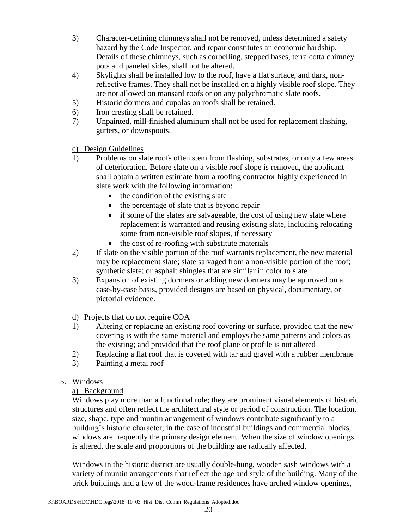- 3) Character-defining chimneys shall not be removed, unless determined a safety hazard by the Code Inspector, and repair constitutes an economic hardship. Details of these chimneys, such as corbelling, stepped bases, terra cotta chimney pots and paneled sides, shall not be altered.
- 4) Skylights shall be installed low to the roof, have a flat surface, and dark, nonreflective frames. They shall not be installed on a highly visible roof slope. They are not allowed on mansard roofs or on any polychromatic slate roofs.
- 5) Historic dormers and cupolas on roofs shall be retained.
- 6) Iron cresting shall be retained.
- 7) Unpainted, mill-finished aluminum shall not be used for replacement flashing, gutters, or downspouts.

## c) Design Guidelines

- 1) Problems on slate roofs often stem from flashing, substrates, or only a few areas of deterioration. Before slate on a visible roof slope is removed, the applicant shall obtain a written estimate from a roofing contractor highly experienced in slate work with the following information:
	- $\bullet$  the condition of the existing slate
	- the percentage of slate that is beyond repair
	- if some of the slates are salvageable, the cost of using new slate where replacement is warranted and reusing existing slate, including relocating some from non-visible roof slopes, if necessary
	- $\bullet$  the cost of re-roofing with substitute materials
- 2) If slate on the visible portion of the roof warrants replacement, the new material may be replacement slate; slate salvaged from a non-visible portion of the roof; synthetic slate; or asphalt shingles that are similar in color to slate
- 3) Expansion of existing dormers or adding new dormers may be approved on a case-by-case basis, provided designs are based on physical, documentary, or pictorial evidence.

### d) Projects that do not require COA

- 1) Altering or replacing an existing roof covering or surface, provided that the new covering is with the same material and employs the same patterns and colors as the existing; and provided that the roof plane or profile is not altered
- 2) Replacing a flat roof that is covered with tar and gravel with a rubber membrane
- 3) Painting a metal roof

### 5. Windows

# a) Background

Windows play more than a functional role; they are prominent visual elements of historic structures and often reflect the architectural style or period of construction. The location, size, shape, type and muntin arrangement of windows contribute significantly to a building's historic character; in the case of industrial buildings and commercial blocks, windows are frequently the primary design element. When the size of window openings is altered, the scale and proportions of the building are radically affected.

Windows in the historic district are usually double-hung, wooden sash windows with a variety of muntin arrangements that reflect the age and style of the building. Many of the brick buildings and a few of the wood-frame residences have arched window openings,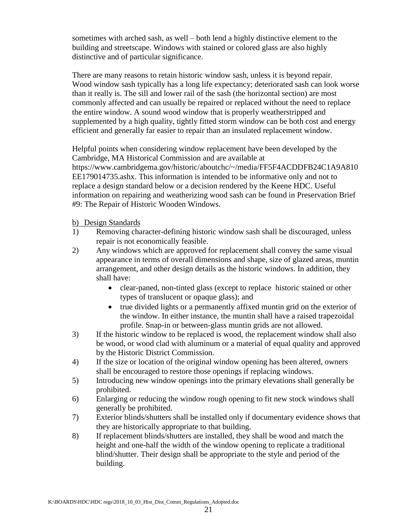sometimes with arched sash, as well – both lend a highly distinctive element to the building and streetscape. Windows with stained or colored glass are also highly distinctive and of particular significance.

There are many reasons to retain historic window sash, unless it is beyond repair. Wood window sash typically has a long life expectancy; deteriorated sash can look worse than it really is. The sill and lower rail of the sash (the horizontal section) are most commonly affected and can usually be repaired or replaced without the need to replace the entire window. A sound wood window that is properly weatherstripped and supplemented by a high quality, tightly fitted storm window can be both cost and energy efficient and generally far easier to repair than an insulated replacement window.

Helpful points when considering window replacement have been developed by the Cambridge, MA Historical Commission and are available at

https://www.cambridgema.gov/historic/aboutchc/~/media/FF5F4ACDDFB24C1A9A810 EE179014735.ashx. This information is intended to be informative only and not to replace a design standard below or a decision rendered by the Keene HDC. Useful information on repairing and weatherizing wood sash can be found in Preservation Brief #9: The Repair of Historic Wooden Windows.

#### b) Design Standards

- 1) Removing character-defining historic window sash shall be discouraged, unless repair is not economically feasible.
- 2) Any windows which are approved for replacement shall convey the same visual appearance in terms of overall dimensions and shape, size of glazed areas, muntin arrangement, and other design details as the historic windows. In addition, they shall have:
	- clear-paned, non-tinted glass (except to replace historic stained or other types of translucent or opaque glass); and
	- true divided lights or a permanently affixed muntin grid on the exterior of the window. In either instance, the muntin shall have a raised trapezoidal profile. Snap-in or between-glass muntin grids are not allowed.
- 3) If the historic window to be replaced is wood, the replacement window shall also be wood, or wood clad with aluminum or a material of equal quality and approved by the Historic District Commission.
- 4) If the size or location of the original window opening has been altered, owners shall be encouraged to restore those openings if replacing windows.
- 5) Introducing new window openings into the primary elevations shall generally be prohibited.
- 6) Enlarging or reducing the window rough opening to fit new stock windows shall generally be prohibited.
- 7) Exterior blinds/shutters shall be installed only if documentary evidence shows that they are historically appropriate to that building.
- 8) If replacement blinds/shutters are installed, they shall be wood and match the height and one-half the width of the window opening to replicate a traditional blind/shutter. Their design shall be appropriate to the style and period of the building.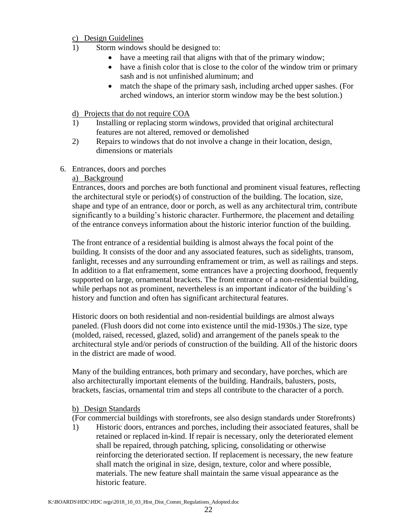#### c) Design Guidelines

- 1) Storm windows should be designed to:
	- have a meeting rail that aligns with that of the primary window;
	- have a finish color that is close to the color of the window trim or primary sash and is not unfinished aluminum; and
	- match the shape of the primary sash, including arched upper sashes. (For arched windows, an interior storm window may be the best solution.)
- d) Projects that do not require COA
- 1) Installing or replacing storm windows, provided that original architectural features are not altered, removed or demolished
- 2) Repairs to windows that do not involve a change in their location, design, dimensions or materials
- 6. Entrances, doors and porches

#### a) Background

Entrances, doors and porches are both functional and prominent visual features, reflecting the architectural style or period(s) of construction of the building. The location, size, shape and type of an entrance, door or porch, as well as any architectural trim, contribute significantly to a building's historic character. Furthermore, the placement and detailing of the entrance conveys information about the historic interior function of the building.

The front entrance of a residential building is almost always the focal point of the building. It consists of the door and any associated features, such as sidelights, transom, fanlight, recesses and any surrounding enframement or trim, as well as railings and steps. In addition to a flat enframement, some entrances have a projecting doorhood, frequently supported on large, ornamental brackets. The front entrance of a non-residential building, while perhaps not as prominent, nevertheless is an important indicator of the building's history and function and often has significant architectural features.

Historic doors on both residential and non-residential buildings are almost always paneled. (Flush doors did not come into existence until the mid-1930s.) The size, type (molded, raised, recessed, glazed, solid) and arrangement of the panels speak to the architectural style and/or periods of construction of the building. All of the historic doors in the district are made of wood.

Many of the building entrances, both primary and secondary, have porches, which are also architecturally important elements of the building. Handrails, balusters, posts, brackets, fascias, ornamental trim and steps all contribute to the character of a porch.

#### b) Design Standards

(For commercial buildings with storefronts, see also design standards under Storefronts)

1) Historic doors, entrances and porches, including their associated features, shall be retained or replaced in-kind. If repair is necessary, only the deteriorated element shall be repaired, through patching, splicing, consolidating or otherwise reinforcing the deteriorated section. If replacement is necessary, the new feature shall match the original in size, design, texture, color and where possible, materials. The new feature shall maintain the same visual appearance as the historic feature.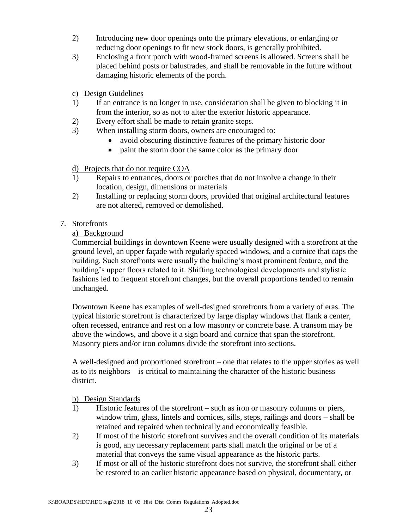- 2) Introducing new door openings onto the primary elevations, or enlarging or reducing door openings to fit new stock doors, is generally prohibited.
- 3) Enclosing a front porch with wood-framed screens is allowed. Screens shall be placed behind posts or balustrades, and shall be removable in the future without damaging historic elements of the porch.

### c) Design Guidelines

- 1) If an entrance is no longer in use, consideration shall be given to blocking it in from the interior, so as not to alter the exterior historic appearance.
- 2) Every effort shall be made to retain granite steps.
- 3) When installing storm doors, owners are encouraged to:
	- avoid obscuring distinctive features of the primary historic door
	- paint the storm door the same color as the primary door

### d) Projects that do not require COA

- 1) Repairs to entrances, doors or porches that do not involve a change in their location, design, dimensions or materials
- 2) Installing or replacing storm doors, provided that original architectural features are not altered, removed or demolished.

### 7. Storefronts

### a) Background

Commercial buildings in downtown Keene were usually designed with a storefront at the ground level, an upper façade with regularly spaced windows, and a cornice that caps the building. Such storefronts were usually the building's most prominent feature, and the building's upper floors related to it. Shifting technological developments and stylistic fashions led to frequent storefront changes, but the overall proportions tended to remain unchanged.

Downtown Keene has examples of well-designed storefronts from a variety of eras. The typical historic storefront is characterized by large display windows that flank a center, often recessed, entrance and rest on a low masonry or concrete base. A transom may be above the windows, and above it a sign board and cornice that span the storefront. Masonry piers and/or iron columns divide the storefront into sections.

A well-designed and proportioned storefront – one that relates to the upper stories as well as to its neighbors – is critical to maintaining the character of the historic business district.

### b) Design Standards

- 1) Historic features of the storefront such as iron or masonry columns or piers, window trim, glass, lintels and cornices, sills, steps, railings and doors – shall be retained and repaired when technically and economically feasible.
- 2) If most of the historic storefront survives and the overall condition of its materials is good, any necessary replacement parts shall match the original or be of a material that conveys the same visual appearance as the historic parts.
- 3) If most or all of the historic storefront does not survive, the storefront shall either be restored to an earlier historic appearance based on physical, documentary, or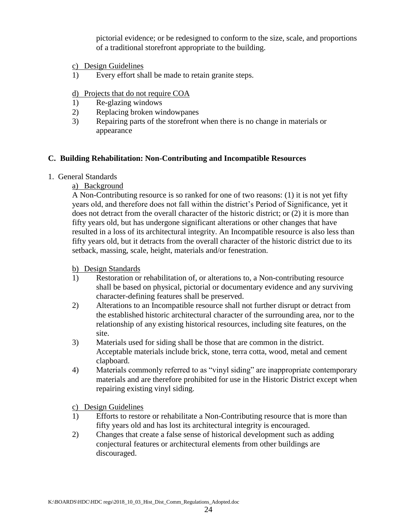pictorial evidence; or be redesigned to conform to the size, scale, and proportions of a traditional storefront appropriate to the building.

- c) Design Guidelines
- 1) Every effort shall be made to retain granite steps.

#### d) Projects that do not require COA

- 1) Re-glazing windows
- 2) Replacing broken windowpanes
- 3) Repairing parts of the storefront when there is no change in materials or appearance

#### **C. Building Rehabilitation: Non-Contributing and Incompatible Resources**

#### 1. General Standards

a) Background

A Non-Contributing resource is so ranked for one of two reasons: (1) it is not yet fifty years old, and therefore does not fall within the district's Period of Significance, yet it does not detract from the overall character of the historic district; or (2) it is more than fifty years old, but has undergone significant alterations or other changes that have resulted in a loss of its architectural integrity. An Incompatible resource is also less than fifty years old, but it detracts from the overall character of the historic district due to its setback, massing, scale, height, materials and/or fenestration.

#### b) Design Standards

- 1) Restoration or rehabilitation of, or alterations to, a Non-contributing resource shall be based on physical, pictorial or documentary evidence and any surviving character-defining features shall be preserved.
- 2) Alterations to an Incompatible resource shall not further disrupt or detract from the established historic architectural character of the surrounding area, nor to the relationship of any existing historical resources, including site features, on the site.
- 3) Materials used for siding shall be those that are common in the district. Acceptable materials include brick, stone, terra cotta, wood, metal and cement clapboard.
- 4) Materials commonly referred to as "vinyl siding" are inappropriate contemporary materials and are therefore prohibited for use in the Historic District except when repairing existing vinyl siding.

c) Design Guidelines

- 1) Efforts to restore or rehabilitate a Non-Contributing resource that is more than fifty years old and has lost its architectural integrity is encouraged.
- 2) Changes that create a false sense of historical development such as adding conjectural features or architectural elements from other buildings are discouraged.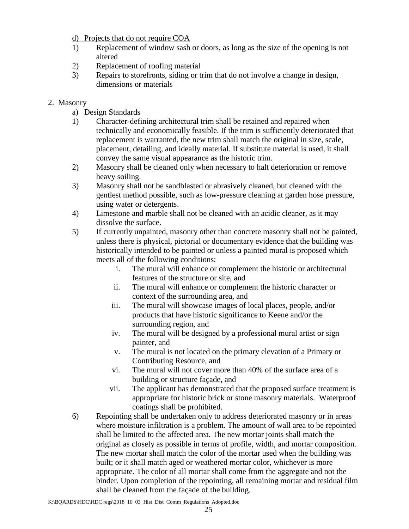d) Projects that do not require COA

- 1) Replacement of window sash or doors, as long as the size of the opening is not altered
- 2) Replacement of roofing material
- 3) Repairs to storefronts, siding or trim that do not involve a change in design, dimensions or materials
- 2. Masonry
	- a) Design Standards
	- 1) Character-defining architectural trim shall be retained and repaired when technically and economically feasible. If the trim is sufficiently deteriorated that replacement is warranted, the new trim shall match the original in size, scale, placement, detailing, and ideally material. If substitute material is used, it shall convey the same visual appearance as the historic trim.
	- 2) Masonry shall be cleaned only when necessary to halt deterioration or remove heavy soiling.
	- 3) Masonry shall not be sandblasted or abrasively cleaned, but cleaned with the gentlest method possible, such as low-pressure cleaning at garden hose pressure, using water or detergents.
	- 4) Limestone and marble shall not be cleaned with an acidic cleaner, as it may dissolve the surface.
	- 5) If currently unpainted, masonry other than concrete masonry shall not be painted, unless there is physical, pictorial or documentary evidence that the building was historically intended to be painted or unless a painted mural is proposed which meets all of the following conditions:
		- i. The mural will enhance or complement the historic or architectural features of the structure or site, and
		- ii. The mural will enhance or complement the historic character or context of the surrounding area, and
		- iii. The mural will showcase images of local places, people, and/or products that have historic significance to Keene and/or the surrounding region, and
		- iv. The mural will be designed by a professional mural artist or sign painter, and
		- v. The mural is not located on the primary elevation of a Primary or Contributing Resource, and
		- vi. The mural will not cover more than 40% of the surface area of a building or structure façade, and
		- vii. The applicant has demonstrated that the proposed surface treatment is appropriate for historic brick or stone masonry materials. Waterproof coatings shall be prohibited.
	- 6) Repointing shall be undertaken only to address deteriorated masonry or in areas where moisture infiltration is a problem. The amount of wall area to be repointed shall be limited to the affected area. The new mortar joints shall match the original as closely as possible in terms of profile, width, and mortar composition. The new mortar shall match the color of the mortar used when the building was built; or it shall match aged or weathered mortar color, whichever is more appropriate. The color of all mortar shall come from the aggregate and not the binder. Upon completion of the repointing, all remaining mortar and residual film shall be cleaned from the façade of the building.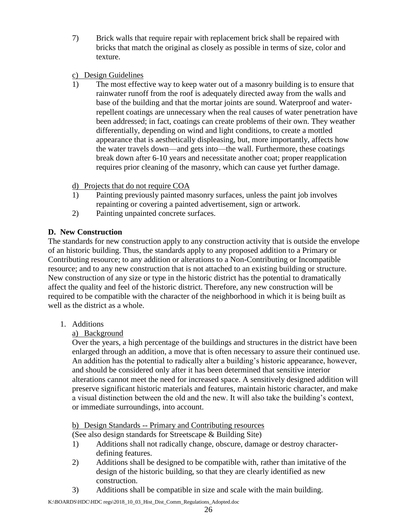- 7) Brick walls that require repair with replacement brick shall be repaired with bricks that match the original as closely as possible in terms of size, color and texture.
- c) Design Guidelines
- 1) The most effective way to keep water out of a masonry building is to ensure that rainwater runoff from the roof is adequately directed away from the walls and base of the building and that the mortar joints are sound. Waterproof and waterrepellent coatings are unnecessary when the real causes of water penetration have been addressed; in fact, coatings can create problems of their own. They weather differentially, depending on wind and light conditions, to create a mottled appearance that is aesthetically displeasing, but, more importantly, affects how the water travels down—and gets into—the wall. Furthermore, these coatings break down after 6-10 years and necessitate another coat; proper reapplication requires prior cleaning of the masonry, which can cause yet further damage.
- d) Projects that do not require COA
- 1) Painting previously painted masonry surfaces, unless the paint job involves repainting or covering a painted advertisement, sign or artwork.
- 2) Painting unpainted concrete surfaces.

# **D. New Construction**

The standards for new construction apply to any construction activity that is outside the envelope of an historic building. Thus, the standards apply to any proposed addition to a Primary or Contributing resource; to any addition or alterations to a Non-Contributing or Incompatible resource; and to any new construction that is not attached to an existing building or structure. New construction of any size or type in the historic district has the potential to dramatically affect the quality and feel of the historic district. Therefore, any new construction will be required to be compatible with the character of the neighborhood in which it is being built as well as the district as a whole.

1. Additions

# a) Background

Over the years, a high percentage of the buildings and structures in the district have been enlarged through an addition, a move that is often necessary to assure their continued use. An addition has the potential to radically alter a building's historic appearance, however, and should be considered only after it has been determined that sensitive interior alterations cannot meet the need for increased space. A sensitively designed addition will preserve significant historic materials and features, maintain historic character, and make a visual distinction between the old and the new. It will also take the building's context, or immediate surroundings, into account.

b) Design Standards -- Primary and Contributing resources

(See also design standards for Streetscape & Building Site)

- 1) Additions shall not radically change, obscure, damage or destroy characterdefining features.
- 2) Additions shall be designed to be compatible with, rather than imitative of the design of the historic building, so that they are clearly identified as new construction.
- 3) Additions shall be compatible in size and scale with the main building.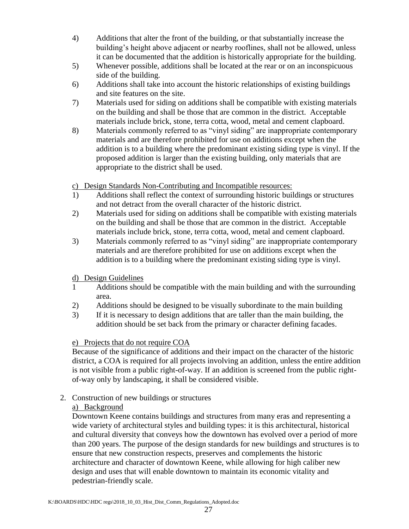- 4) Additions that alter the front of the building, or that substantially increase the building's height above adjacent or nearby rooflines, shall not be allowed, unless it can be documented that the addition is historically appropriate for the building.
- 5) Whenever possible, additions shall be located at the rear or on an inconspicuous side of the building.
- 6) Additions shall take into account the historic relationships of existing buildings and site features on the site.
- 7) Materials used for siding on additions shall be compatible with existing materials on the building and shall be those that are common in the district. Acceptable materials include brick, stone, terra cotta, wood, metal and cement clapboard.
- 8) Materials commonly referred to as "vinyl siding" are inappropriate contemporary materials and are therefore prohibited for use on additions except when the addition is to a building where the predominant existing siding type is vinyl. If the proposed addition is larger than the existing building, only materials that are appropriate to the district shall be used.
- c) Design Standards Non-Contributing and Incompatible resources:
- 1) Additions shall reflect the context of surrounding historic buildings or structures and not detract from the overall character of the historic district.
- 2) Materials used for siding on additions shall be compatible with existing materials on the building and shall be those that are common in the district. Acceptable materials include brick, stone, terra cotta, wood, metal and cement clapboard.
- 3) Materials commonly referred to as "vinyl siding" are inappropriate contemporary materials and are therefore prohibited for use on additions except when the addition is to a building where the predominant existing siding type is vinyl.

### d) Design Guidelines

- 1 Additions should be compatible with the main building and with the surrounding area.
- 2) Additions should be designed to be visually subordinate to the main building
- 3) If it is necessary to design additions that are taller than the main building, the addition should be set back from the primary or character defining facades.

# e) Projects that do not require COA

Because of the significance of additions and their impact on the character of the historic district, a COA is required for all projects involving an addition, unless the entire addition is not visible from a public right-of-way. If an addition is screened from the public rightof-way only by landscaping, it shall be considered visible.

2. Construction of new buildings or structures

# a) Background

Downtown Keene contains buildings and structures from many eras and representing a wide variety of architectural styles and building types: it is this architectural, historical and cultural diversity that conveys how the downtown has evolved over a period of more than 200 years. The purpose of the design standards for new buildings and structures is to ensure that new construction respects, preserves and complements the historic architecture and character of downtown Keene, while allowing for high caliber new design and uses that will enable downtown to maintain its economic vitality and pedestrian-friendly scale.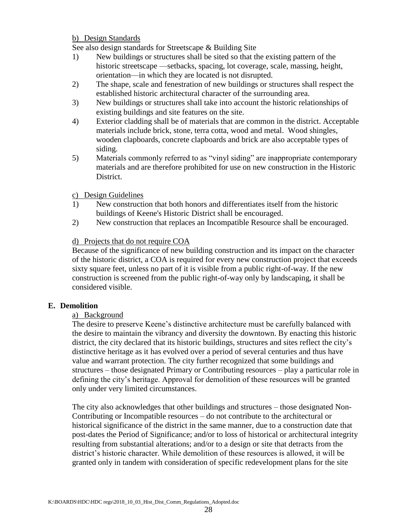#### b) Design Standards

See also design standards for Streetscape & Building Site

- 1) New buildings or structures shall be sited so that the existing pattern of the historic streetscape —setbacks, spacing, lot coverage, scale, massing, height, orientation—in which they are located is not disrupted.
- 2) The shape, scale and fenestration of new buildings or structures shall respect the established historic architectural character of the surrounding area.
- 3) New buildings or structures shall take into account the historic relationships of existing buildings and site features on the site.
- 4) Exterior cladding shall be of materials that are common in the district. Acceptable materials include brick, stone, terra cotta, wood and metal. Wood shingles, wooden clapboards, concrete clapboards and brick are also acceptable types of siding.
- 5) Materials commonly referred to as "vinyl siding" are inappropriate contemporary materials and are therefore prohibited for use on new construction in the Historic District.

#### c) Design Guidelines

- 1) New construction that both honors and differentiates itself from the historic buildings of Keene's Historic District shall be encouraged.
- 2) New construction that replaces an Incompatible Resource shall be encouraged.

#### d) Projects that do not require COA

Because of the significance of new building construction and its impact on the character of the historic district, a COA is required for every new construction project that exceeds sixty square feet, unless no part of it is visible from a public right-of-way. If the new construction is screened from the public right-of-way only by landscaping, it shall be considered visible.

#### **E. Demolition**

#### a) Background

The desire to preserve Keene's distinctive architecture must be carefully balanced with the desire to maintain the vibrancy and diversity the downtown. By enacting this historic district, the city declared that its historic buildings, structures and sites reflect the city's distinctive heritage as it has evolved over a period of several centuries and thus have value and warrant protection. The city further recognized that some buildings and structures – those designated Primary or Contributing resources – play a particular role in defining the city's heritage. Approval for demolition of these resources will be granted only under very limited circumstances.

The city also acknowledges that other buildings and structures – those designated Non-Contributing or Incompatible resources – do not contribute to the architectural or historical significance of the district in the same manner, due to a construction date that post-dates the Period of Significance; and/or to loss of historical or architectural integrity resulting from substantial alterations; and/or to a design or site that detracts from the district's historic character. While demolition of these resources is allowed, it will be granted only in tandem with consideration of specific redevelopment plans for the site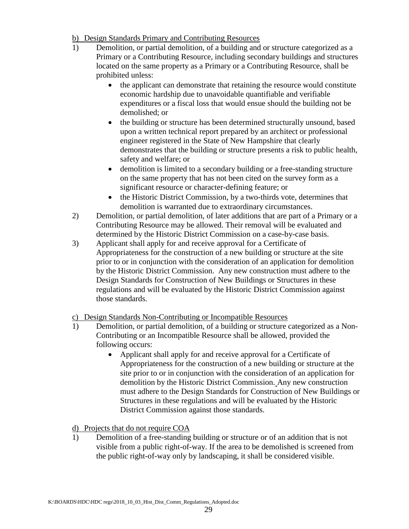- b) Design Standards Primary and Contributing Resources
- 1) Demolition, or partial demolition, of a building and or structure categorized as a Primary or a Contributing Resource, including secondary buildings and structures located on the same property as a Primary or a Contributing Resource, shall be prohibited unless:
	- the applicant can demonstrate that retaining the resource would constitute economic hardship due to unavoidable quantifiable and verifiable expenditures or a fiscal loss that would ensue should the building not be demolished; or
	- the building or structure has been determined structurally unsound, based upon a written technical report prepared by an architect or professional engineer registered in the State of New Hampshire that clearly demonstrates that the building or structure presents a risk to public health, safety and welfare; or
	- demolition is limited to a secondary building or a free-standing structure on the same property that has not been cited on the survey form as a significant resource or character-defining feature; or
	- the Historic District Commission, by a two-thirds vote, determines that demolition is warranted due to extraordinary circumstances.
- 2) Demolition, or partial demolition, of later additions that are part of a Primary or a Contributing Resource may be allowed. Their removal will be evaluated and determined by the Historic District Commission on a case-by-case basis.
- 3) Applicant shall apply for and receive approval for a Certificate of Appropriateness for the construction of a new building or structure at the site prior to or in conjunction with the consideration of an application for demolition by the Historic District Commission. Any new construction must adhere to the Design Standards for Construction of New Buildings or Structures in these regulations and will be evaluated by the Historic District Commission against those standards.

### c) Design Standards Non-Contributing or Incompatible Resources

- 1) Demolition, or partial demolition, of a building or structure categorized as a Non-Contributing or an Incompatible Resource shall be allowed, provided the following occurs:
	- Applicant shall apply for and receive approval for a Certificate of Appropriateness for the construction of a new building or structure at the site prior to or in conjunction with the consideration of an application for demolition by the Historic District Commission. Any new construction must adhere to the Design Standards for Construction of New Buildings or Structures in these regulations and will be evaluated by the Historic District Commission against those standards.
- d) Projects that do not require COA
- 1) Demolition of a free-standing building or structure or of an addition that is not visible from a public right-of-way. If the area to be demolished is screened from the public right-of-way only by landscaping, it shall be considered visible.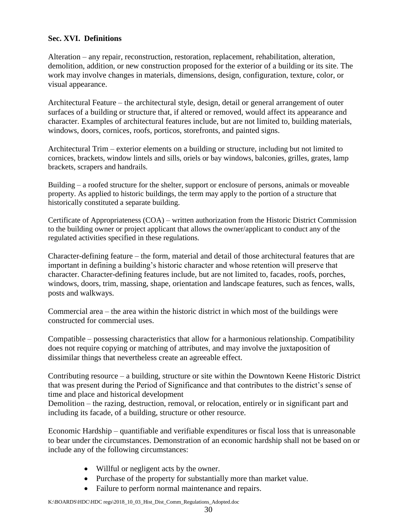#### **Sec. XVI. Definitions**

Alteration – any repair, reconstruction, restoration, replacement, rehabilitation, alteration, demolition, addition, or new construction proposed for the exterior of a building or its site. The work may involve changes in materials, dimensions, design, configuration, texture, color, or visual appearance.

Architectural Feature – the architectural style, design, detail or general arrangement of outer surfaces of a building or structure that, if altered or removed, would affect its appearance and character. Examples of architectural features include, but are not limited to, building materials, windows, doors, cornices, roofs, porticos, storefronts, and painted signs.

Architectural Trim – exterior elements on a building or structure, including but not limited to cornices, brackets, window lintels and sills, oriels or bay windows, balconies, grilles, grates, lamp brackets, scrapers and handrails.

Building – a roofed structure for the shelter, support or enclosure of persons, animals or moveable property. As applied to historic buildings, the term may apply to the portion of a structure that historically constituted a separate building.

Certificate of Appropriateness (COA) – written authorization from the Historic District Commission to the building owner or project applicant that allows the owner/applicant to conduct any of the regulated activities specified in these regulations.

Character-defining feature – the form, material and detail of those architectural features that are important in defining a building's historic character and whose retention will preserve that character. Character-defining features include, but are not limited to, facades, roofs, porches, windows, doors, trim, massing, shape, orientation and landscape features, such as fences, walls, posts and walkways.

Commercial area – the area within the historic district in which most of the buildings were constructed for commercial uses.

Compatible – possessing characteristics that allow for a harmonious relationship. Compatibility does not require copying or matching of attributes, and may involve the juxtaposition of dissimilar things that nevertheless create an agreeable effect.

Contributing resource – a building, structure or site within the Downtown Keene Historic District that was present during the Period of Significance and that contributes to the district's sense of time and place and historical development

Demolition – the razing, destruction, removal, or relocation, entirely or in significant part and including its facade, of a building, structure or other resource.

Economic Hardship – quantifiable and verifiable expenditures or fiscal loss that is unreasonable to bear under the circumstances. Demonstration of an economic hardship shall not be based on or include any of the following circumstances:

- Willful or negligent acts by the owner.
- Purchase of the property for substantially more than market value.
- Failure to perform normal maintenance and repairs.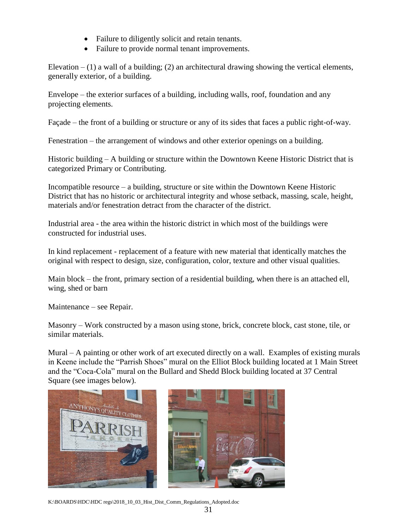- Failure to diligently solicit and retain tenants.
- Failure to provide normal tenant improvements.

Elevation  $- (1)$  a wall of a building; (2) an architectural drawing showing the vertical elements, generally exterior, of a building.

Envelope – the exterior surfaces of a building, including walls, roof, foundation and any projecting elements.

Façade – the front of a building or structure or any of its sides that faces a public right-of-way.

Fenestration – the arrangement of windows and other exterior openings on a building.

Historic building – A building or structure within the Downtown Keene Historic District that is categorized Primary or Contributing.

Incompatible resource – a building, structure or site within the Downtown Keene Historic District that has no historic or architectural integrity and whose setback, massing, scale, height, materials and/or fenestration detract from the character of the district.

Industrial area - the area within the historic district in which most of the buildings were constructed for industrial uses.

In kind replacement - replacement of a feature with new material that identically matches the original with respect to design, size, configuration, color, texture and other visual qualities.

Main block – the front, primary section of a residential building, when there is an attached ell, wing, shed or barn

Maintenance – see Repair.

Masonry – Work constructed by a mason using stone, brick, concrete block, cast stone, tile, or similar materials.

Mural – A painting or other work of art executed directly on a wall. Examples of existing murals in Keene include the "Parrish Shoes" mural on the Elliot Block building located at 1 Main Street and the "Coca-Cola" mural on the Bullard and Shedd Block building located at 37 Central Square (see images below).



K:\BOARDS\HDC\HDC regs\2018\_10\_03\_Hist\_Dist\_Comm\_Regulations\_Adopted.doc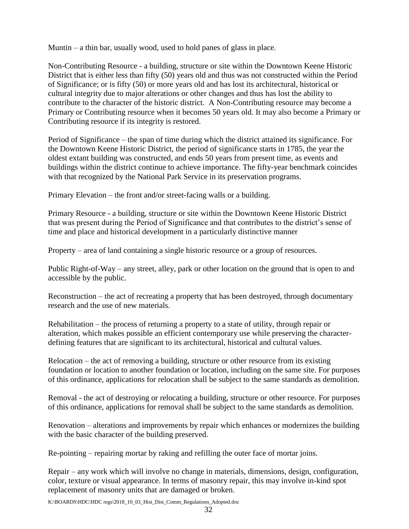Muntin – a thin bar, usually wood, used to hold panes of glass in place.

Non-Contributing Resource - a building, structure or site within the Downtown Keene Historic District that is either less than fifty (50) years old and thus was not constructed within the Period of Significance; or is fifty (50) or more years old and has lost its architectural, historical or cultural integrity due to major alterations or other changes and thus has lost the ability to contribute to the character of the historic district. A Non-Contributing resource may become a Primary or Contributing resource when it becomes 50 years old. It may also become a Primary or Contributing resource if its integrity is restored.

Period of Significance – the span of time during which the district attained its significance. For the Downtown Keene Historic District, the period of significance starts in 1785, the year the oldest extant building was constructed, and ends 50 years from present time, as events and buildings within the district continue to achieve importance. The fifty-year benchmark coincides with that recognized by the National Park Service in its preservation programs.

Primary Elevation – the front and/or street-facing walls or a building.

Primary Resource - a building, structure or site within the Downtown Keene Historic District that was present during the Period of Significance and that contributes to the district's sense of time and place and historical development in a particularly distinctive manner

Property – area of land containing a single historic resource or a group of resources.

Public Right-of-Way – any street, alley, park or other location on the ground that is open to and accessible by the public.

Reconstruction – the act of recreating a property that has been destroyed, through documentary research and the use of new materials.

Rehabilitation – the process of returning a property to a state of utility, through repair or alteration, which makes possible an efficient contemporary use while preserving the characterdefining features that are significant to its architectural, historical and cultural values.

Relocation – the act of removing a building, structure or other resource from its existing foundation or location to another foundation or location, including on the same site. For purposes of this ordinance, applications for relocation shall be subject to the same standards as demolition.

Removal - the act of destroying or relocating a building, structure or other resource. For purposes of this ordinance, applications for removal shall be subject to the same standards as demolition.

Renovation – alterations and improvements by repair which enhances or modernizes the building with the basic character of the building preserved.

Re-pointing – repairing mortar by raking and refilling the outer face of mortar joins.

Repair – any work which will involve no change in materials, dimensions, design, configuration, color, texture or visual appearance. In terms of masonry repair, this may involve in-kind spot replacement of masonry units that are damaged or broken.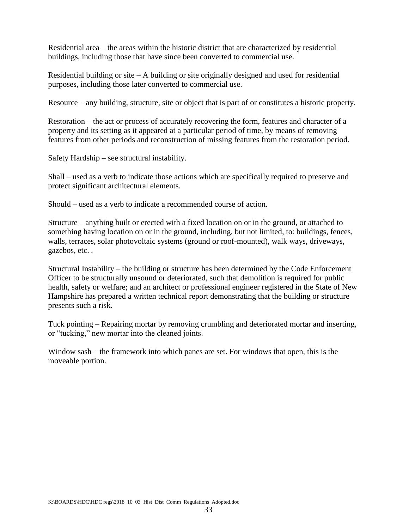Residential area – the areas within the historic district that are characterized by residential buildings, including those that have since been converted to commercial use.

Residential building or site  $-A$  building or site originally designed and used for residential purposes, including those later converted to commercial use.

Resource – any building, structure, site or object that is part of or constitutes a historic property.

Restoration – the act or process of accurately recovering the form, features and character of a property and its setting as it appeared at a particular period of time, by means of removing features from other periods and reconstruction of missing features from the restoration period.

Safety Hardship – see structural instability.

Shall – used as a verb to indicate those actions which are specifically required to preserve and protect significant architectural elements.

Should – used as a verb to indicate a recommended course of action.

Structure – anything built or erected with a fixed location on or in the ground, or attached to something having location on or in the ground, including, but not limited, to: buildings, fences, walls, terraces, solar photovoltaic systems (ground or roof-mounted), walk ways, driveways, gazebos, etc. .

Structural Instability – the building or structure has been determined by the Code Enforcement Officer to be structurally unsound or deteriorated, such that demolition is required for public health, safety or welfare; and an architect or professional engineer registered in the State of New Hampshire has prepared a written technical report demonstrating that the building or structure presents such a risk.

Tuck pointing – Repairing mortar by removing crumbling and deteriorated mortar and inserting, or "tucking," new mortar into the cleaned joints.

Window sash – the framework into which panes are set. For windows that open, this is the moveable portion.